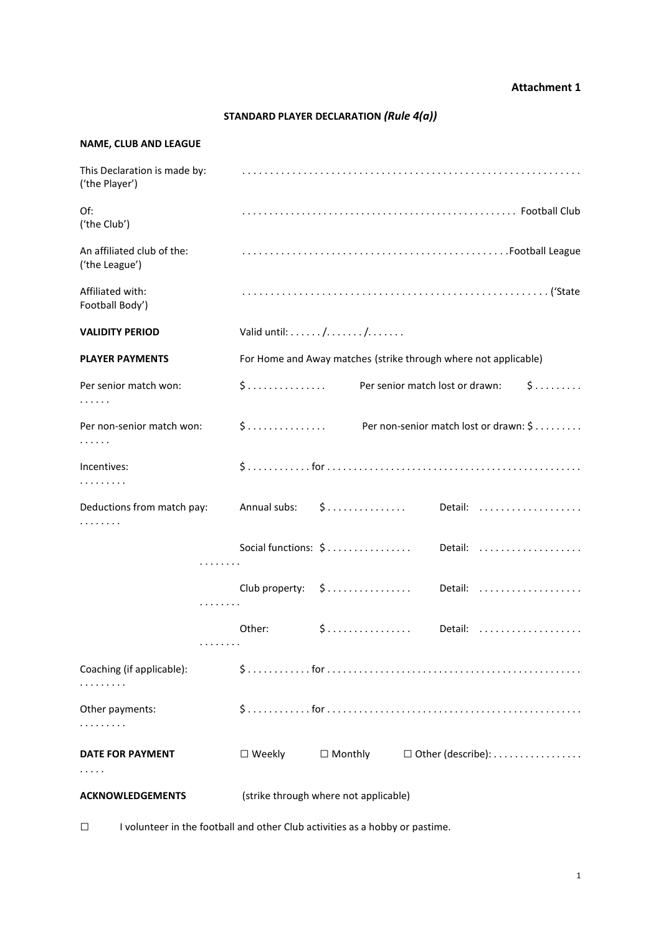## **Attachment 1**

## **STANDARD PLAYER DECLARATION** *(Rule 4(a))*

## **NAME, CLUB AND LEAGUE**

| <b>ACKNOWLEDGEMENTS</b>                        | (strike through where not applicable)                                  |  |
|------------------------------------------------|------------------------------------------------------------------------|--|
| <b>DATE FOR PAYMENT</b><br>.                   | $\square$ Weekly<br>$\Box$ Monthly<br>$\Box$ Other (describe): $\dots$ |  |
| Other payments:                                |                                                                        |  |
| Coaching (if applicable):<br>.                 |                                                                        |  |
| .                                              | \$<br>Other:<br>Detail:                                                |  |
| .                                              | Club property: \$<br>Detail:                                           |  |
| .                                              | Social functions: \$<br>Detail:                                        |  |
| Deductions from match pay:<br>.                | \$<br>Annual subs:<br>Detail:                                          |  |
| Incentives:<br>.                               |                                                                        |  |
| Per non-senior match won:<br>.                 | \$  Per non-senior match lost or drawn: \$                             |  |
| Per senior match won:<br>.                     | \$  Per senior match lost or drawn:<br>5                               |  |
| <b>PLAYER PAYMENTS</b>                         | For Home and Away matches (strike through where not applicable)        |  |
| <b>VALIDITY PERIOD</b>                         |                                                                        |  |
| Affiliated with:<br>Football Body')            |                                                                        |  |
| An affiliated club of the:<br>('the League')   |                                                                        |  |
| Of:<br>('the Club')                            |                                                                        |  |
| This Declaration is made by:<br>('the Player') |                                                                        |  |

□ I volunteer in the football and other Club activities as a hobby or pastime.